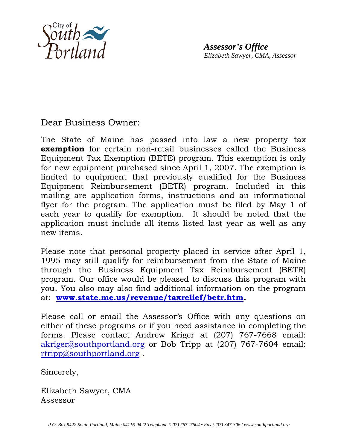

*Assessor's Office Elizabeth Sawyer, CMA, Assessor* 

Dear Business Owner:

The State of Maine has passed into law a new property tax **exemption** for certain non-retail businesses called the Business Equipment Tax Exemption (BETE) program. This exemption is only for new equipment purchased since April 1, 2007. The exemption is limited to equipment that previously qualified for the Business Equipment Reimbursement (BETR) program. Included in this mailing are application forms, instructions and an informational flyer for the program. The application must be filed by May 1 of each year to qualify for exemption. It should be noted that the application must include all items listed last year as well as any new items.

Please note that personal property placed in service after April 1, 1995 may still qualify for reimbursement from the State of Maine through the Business Equipment Tax Reimbursement (BETR) program. Our office would be pleased to discuss this program with you. You also may also find additional information on the program at: **www.state.me.us/revenue/taxrelief/betr.htm.** 

Please call or email the Assessor's Office with any questions on either of these programs or if you need assistance in completing the forms. Please contact Andrew Kriger at (207) 767-7668 email: akriger@southportland.org or Bob Tripp at (207) 767-7604 email: rtripp@southportland.org .

Sincerely,

Elizabeth Sawyer, CMA Assessor